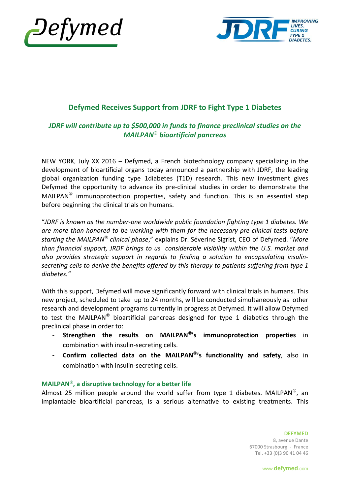



# **Defymed Receives Support from JDRF to Fight Type 1 Diabetes**

## *JDRF will contribute up to \$500,000 in funds to finance preclinical studies on the MAILPAN® bioartificial pancreas*

NEW YORK, July XX 2016 – Defymed, a French biotechnology company specializing in the development of bioartificial organs today announced a partnership with JDRF, the leading global organization funding type 1diabetes (T1D) research. This new investment gives Defymed the opportunity to advance its pre-clinical studies in order to demonstrate the MAILPAN<sup>®</sup> immunoprotection properties, safety and function. This is an essential step before beginning the clinical trials on humans.

"*JDRF is known as the number-one worldwide public foundation fighting type 1 diabetes. We are more than honored to be working with them for the necessary pre-clinical tests before starting the MAILPAN® clinical phase*," explains Dr. Séverine Sigrist, CEO of Defymed. "*More than financial support, JRDF brings to us considerable visibility within the U.S. market and also provides strategic support in regards to finding a solution to encapsulating insulinsecreting cells to derive the benefits offered by this therapy to patients suffering from type 1 diabetes."*

With this support, Defymed will move significantly forward with clinical trials in humans. This new project, scheduled to take up to 24 months, will be conducted simultaneously as other research and development programs currently in progress at Defymed. It will allow Defymed to test the MAILPAN<sup>®</sup> bioartificial pancreas designed for type 1 diabetics through the preclinical phase in order to:

- **Strengthen the results on MAILPAN®'s immunoprotection properties** in combination with insulin-secreting cells.
- **Confirm collected data on the MAILPAN®'s functionality and safety**, also in combination with insulin-secreting cells.

## **MAILPAN®, a disruptive technology for a better life**

Almost 25 million people around the world suffer from type 1 diabetes. MAILPAN<sup>®</sup>, an implantable bioartificial pancreas, is a serious alternative to existing treatments. This

> **DEFYMED** 8, avenue Dante 67000 Strasbourg - France Tel. +33 (0)3 90 41 04 46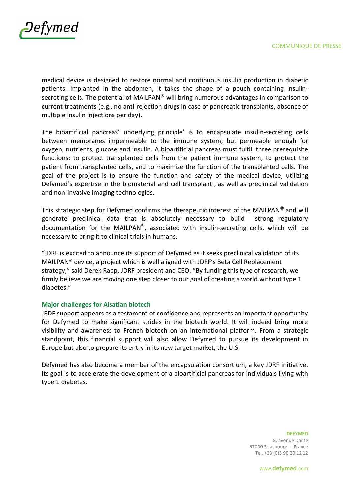

medical device is designed to restore normal and continuous insulin production in diabetic patients. Implanted in the abdomen, it takes the shape of a pouch containing insulinsecreting cells. The potential of MAILPAN® will bring numerous advantages in comparison to current treatments (e.g., no anti-rejection drugs in case of pancreatic transplants, absence of multiple insulin injections per day).

The bioartificial pancreas' underlying principle' is to encapsulate insulin-secreting cells between membranes impermeable to the immune system, but permeable enough for oxygen, nutrients, glucose and insulin. A bioartificial pancreas must fulfill three prerequisite functions: to protect transplanted cells from the patient immune system, to protect the patient from transplanted cells, and to maximize the function of the transplanted cells. The goal of the project is to ensure the function and safety of the medical device, utilizing Defymed's expertise in the biomaterial and cell transplant , as well as preclinical validation and non-invasive imaging technologies.

This strategic step for Defymed confirms the therapeutic interest of the MAILPAN® and will generate preclinical data that is absolutely necessary to build strong regulatory documentation for the MAILPAN®, associated with insulin-secreting cells, which will be necessary to bring it to clinical trials in humans.

"JDRF is excited to announce its support of Defymed as it seeks preclinical validation of its MAILPAN® device, a project which is well aligned with JDRF's Beta Cell Replacement strategy," said Derek Rapp, JDRF president and CEO. "By funding this type of research, we firmly believe we are moving one step closer to our goal of creating a world without type 1 diabetes."

### **Major challenges for Alsatian biotech**

JRDF support appears as a testament of confidence and represents an important opportunity for Defymed to make significant strides in the biotech world. It will indeed bring more visibility and awareness to French biotech on an international platform. From a strategic standpoint, this financial support will also allow Defymed to pursue its development in Europe but also to prepare its entry in its new target market, the U.S.

Defymed has also become a member of the encapsulation consortium, a key JDRF initiative. Its goal is to accelerate the development of a bioartificial pancreas for individuals living with type 1 diabetes.

> **DEFYMED** 8, avenue Dante 67000 Strasbourg - France Tel. +33 (0)3 90 20 12 12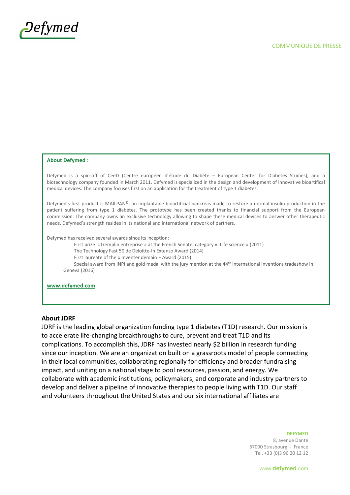

### **About Defymed** :

Defymed is a spin-off of CeeD (Centre européen d'étude du Diabète – European Center for Diabetes Studies), and a biotechnology company founded in March 2011. Defymed is specialized in the design and development of innovative bioartifical medical devices. The company focuses first on an application for the treatment of type 1 diabetes.

Defymed's first product is MAILPAN©, an implantable bioartificial pancreas made to restore a normal insulin production in the patient suffering from type 1 diabetes. The prototype has been created thanks to financial support from the European commission. The company owns an exclusive technology allowing to shape these medical devices to answer other therapeutic needs. Defymed's strength resides in its national and international network of partners.

Defymed has received several awards since its inception:

First prize «Tremplin entreprise » at the French Senate, category « Life science » (2011) The Technology Fast 50 de Deloitte-In Extenso Award (2014) First laureate of the « Inventer demain » Award (2015) Special award from INPI and gold medal with the jury mention at the 44th international inventions tradeshow in Geneva (2016)

### **www.defymed.com**

### **About JDRF**

JDRF is the leading global organization funding type 1 diabetes (T1D) research. Our mission is to accelerate life-changing breakthroughs to cure, prevent and treat T1D and its complications. To accomplish this, JDRF has invested nearly \$2 billion in research funding since our inception. We are an organization built on a grassroots model of people connecting in their local communities, collaborating regionally for efficiency and broader fundraising impact, and uniting on a national stage to pool resources, passion, and energy. We collaborate with academic institutions, policymakers, and corporate and industry partners to develop and deliver a pipeline of innovative therapies to people living with T1D. Our staff and volunteers throughout the United States and our six international affiliates are

> **DEFYMED** 8, avenue Dante 67000 Strasbourg - France Tel. +33 (0)3 90 20 12 12